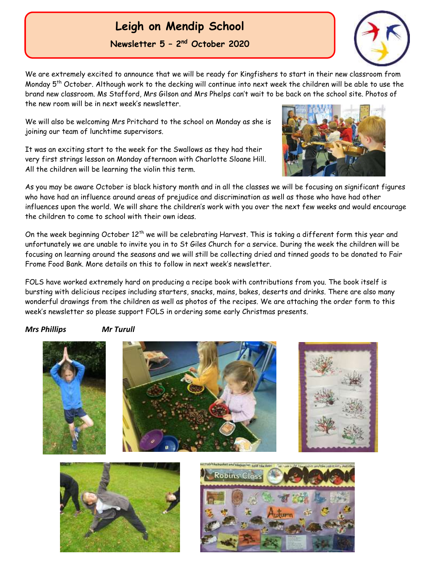# **Leigh on Mendip School**

**Newsletter 5 – 2 nd October 2020**

We are extremely excited to announce that we will be ready for Kingfishers to start in their new classroom from Monday 5th October. Although work to the decking will continue into next week the children will be able to use the brand new classroom. Ms Stafford, Mrs Gilson and Mrs Phelps can't wait to be back on the school site. Photos of the new room will be in next week's newsletter.

We will also be welcoming Mrs Pritchard to the school on Monday as she is joining our team of lunchtime supervisors.

It was an exciting start to the week for the Swallows as they had their very first strings lesson on Monday afternoon with Charlotte Sloane Hill. All the children will be learning the violin this term.

As you may be aware October is black history month and in all the classes we will be focusing on significant figures who have had an influence around areas of prejudice and discrimination as well as those who have had other influences upon the world. We will share the children's work with you over the next few weeks and would encourage the children to come to school with their own ideas.

On the week beginning October 12<sup>th</sup> we will be celebrating Harvest. This is taking a different form this year and unfortunately we are unable to invite you in to St Giles Church for a service. During the week the children will be focusing on learning around the seasons and we will still be collecting dried and tinned goods to be donated to Fair Frome Food Bank. More details on this to follow in next week's newsletter.

FOLS have worked extremely hard on producing a recipe book with contributions from you. The book itself is bursting with delicious recipes including starters, snacks, mains, bakes, deserts and drinks. There are also many wonderful drawings from the children as well as photos of the recipes. We are attaching the order form to this week's newsletter so please support FOLS in ordering some early Christmas presents.

#### *Mrs Phillips Mr Turull*